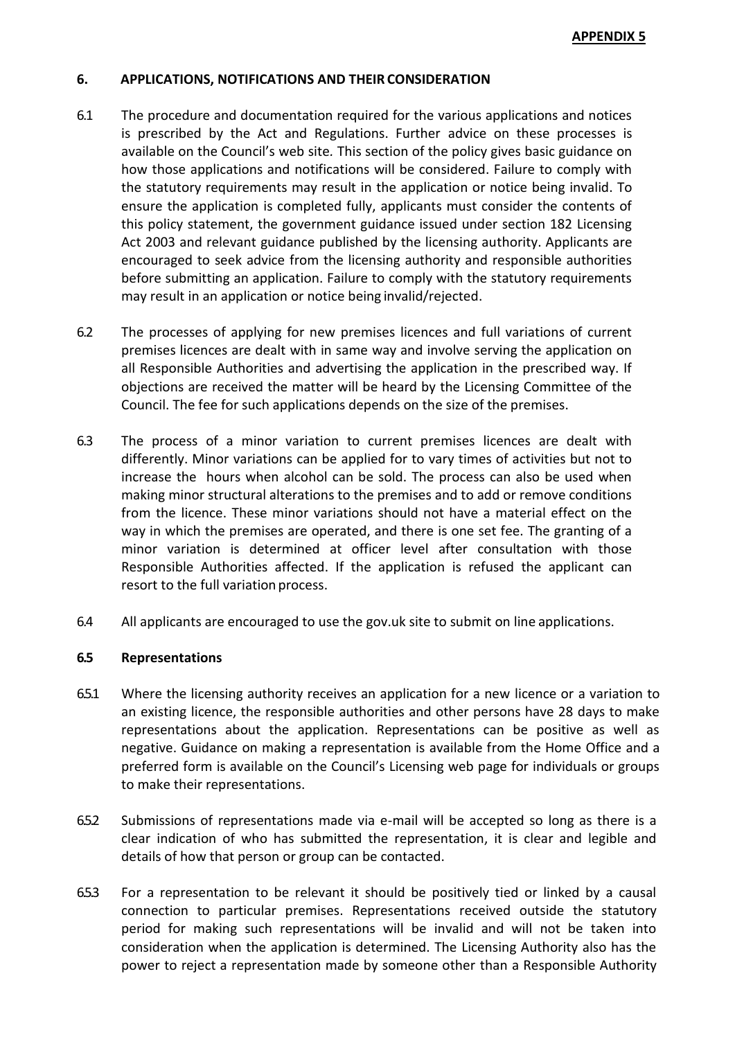### **6. APPLICATIONS, NOTIFICATIONS AND THEIR CONSIDERATION**

- 6.1 The procedure and documentation required for the various applications and notices is prescribed by the Act and Regulations. Further advice on these processes is available on the Council's web site*.* This section of the policy gives basic guidance on how those applications and notifications will be considered. Failure to comply with the statutory requirements may result in the application or notice being invalid. To ensure the application is completed fully, applicants must consider the contents of this policy statement, the government guidance issued under section 182 Licensing Act 2003 and relevant guidance published by the licensing authority. Applicants are encouraged to seek advice from the licensing authority and responsible authorities before submitting an application. Failure to comply with the statutory requirements may result in an application or notice being invalid/rejected.
- 6.2 The processes of applying for new premises licences and full variations of current premises licences are dealt with in same way and involve serving the application on all Responsible Authorities and advertising the application in the prescribed way. If objections are received the matter will be heard by the Licensing Committee of the Council. The fee for such applications depends on the size of the premises.
- 6.3 The process of a minor variation to current premises licences are dealt with differently. Minor variations can be applied for to vary times of activities but not to increase the hours when alcohol can be sold. The process can also be used when making minor structural alterations to the premises and to add or remove conditions from the licence. These minor variations should not have a material effect on the way in which the premises are operated, and there is one set fee. The granting of a minor variation is determined at officer level after consultation with those Responsible Authorities affected. If the application is refused the applicant can resort to the full variation process.
- 6.4 All applicants are encouraged to use the gov.uk site to submit on line applications.

### **6.5 Representations**

- 65.1 Where the licensing authority receives an application for a new licence or a variation to an existing licence, the responsible authorities and other persons have 28 days to make representations about the application. Representations can be positive as well as negative. Guidance on making a representation is available from the Home Office and a preferred form is available on the Council's Licensing web page for individuals or groups to make their representations.
- 6.5.2 Submissions of representations made via e-mail will be accepted so long as there is a clear indication of who has submitted the representation, it is clear and legible and details of how that person or group can be contacted.
- 6.5.3 For a representation to be relevant it should be positively tied or linked by a causal connection to particular premises. Representations received outside the statutory period for making such representations will be invalid and will not be taken into consideration when the application is determined. The Licensing Authority also has the power to reject a representation made by someone other than a Responsible Authority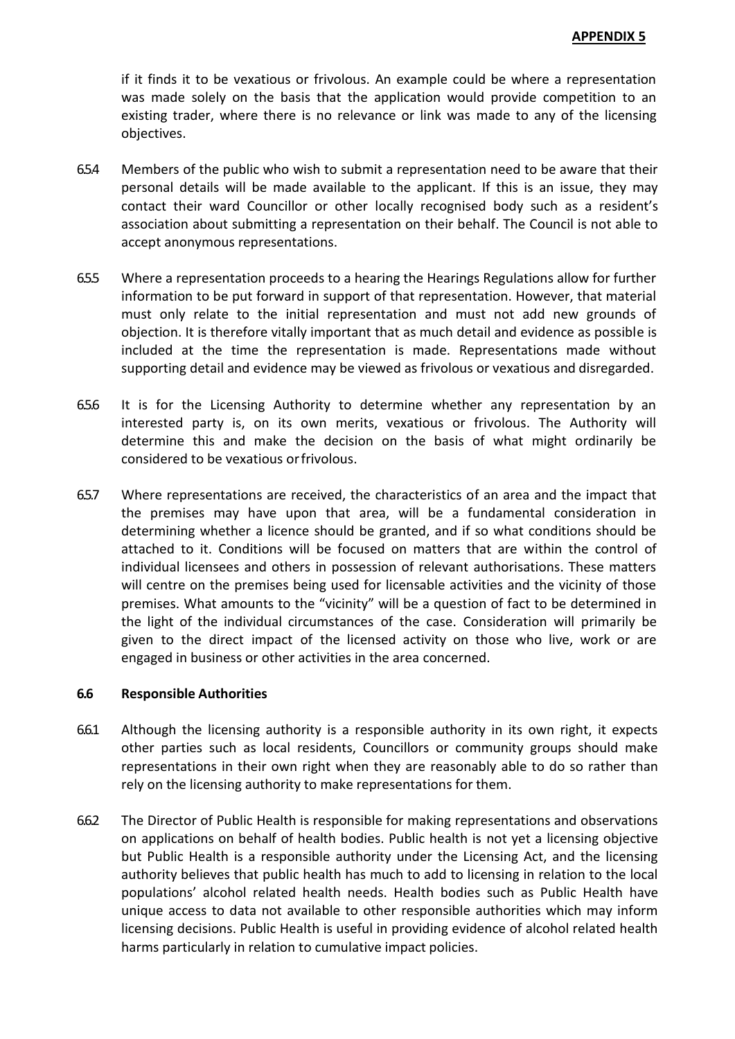if it finds it to be vexatious or frivolous. An example could be where a representation was made solely on the basis that the application would provide competition to an existing trader, where there is no relevance or link was made to any of the licensing objectives.

- 6.5.4 Members of the public who wish to submit a representation need to be aware that their personal details will be made available to the applicant. If this is an issue, they may contact their ward Councillor or other locally recognised body such as a resident's association about submitting a representation on their behalf. The Council is not able to accept anonymous representations.
- 6.5.5 Where a representation proceeds to a hearing the Hearings Regulations allow for further information to be put forward in support of that representation. However, that material must only relate to the initial representation and must not add new grounds of objection. It is therefore vitally important that as much detail and evidence as possible is included at the time the representation is made. Representations made without supporting detail and evidence may be viewed as frivolous or vexatious and disregarded.
- 6.5.6 It is for the Licensing Authority to determine whether any representation by an interested party is, on its own merits, vexatious or frivolous. The Authority will determine this and make the decision on the basis of what might ordinarily be considered to be vexatious orfrivolous.
- 6.5.7 Where representations are received, the characteristics of an area and the impact that the premises may have upon that area, will be a fundamental consideration in determining whether a licence should be granted, and if so what conditions should be attached to it. Conditions will be focused on matters that are within the control of individual licensees and others in possession of relevant authorisations. These matters will centre on the premises being used for licensable activities and the vicinity of those premises. What amounts to the "vicinity" will be a question of fact to be determined in the light of the individual circumstances of the case. Consideration will primarily be given to the direct impact of the licensed activity on those who live, work or are engaged in business or other activities in the area concerned.

### **6.6 Responsible Authorities**

- 6.6.1 Although the licensing authority is a responsible authority in its own right, it expects other parties such as local residents, Councillors or community groups should make representations in their own right when they are reasonably able to do so rather than rely on the licensing authority to make representations for them.
- 6.6.2 The Director of Public Health is responsible for making representations and observations on applications on behalf of health bodies. Public health is not yet a licensing objective but Public Health is a responsible authority under the Licensing Act, and the licensing authority believes that public health has much to add to licensing in relation to the local populations' alcohol related health needs. Health bodies such as Public Health have unique access to data not available to other responsible authorities which may inform licensing decisions. Public Health is useful in providing evidence of alcohol related health harms particularly in relation to cumulative impact policies.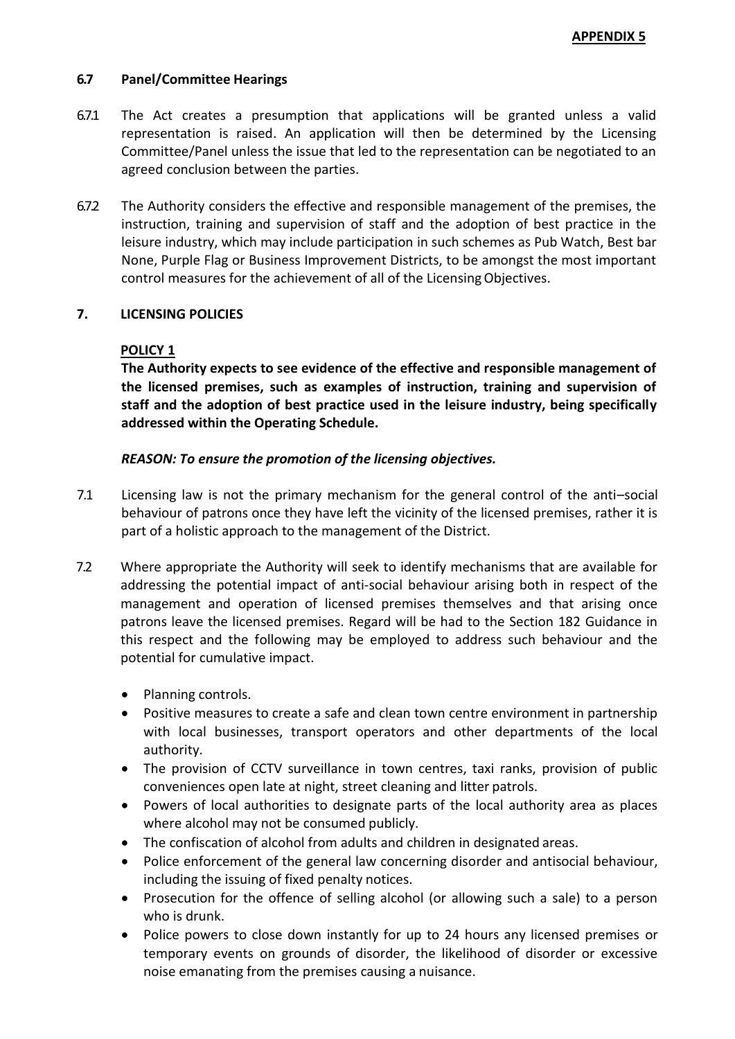## **6.7 Panel/Committee Hearings**

- 6.7.1 The Act creates a presumption that applications will be granted unless a valid representation is raised. An application will then be determined by the Licensing Committee/Panel unless the issue that led to the representation can be negotiated to an agreed conclusion between the parties.
- 6.7.2 The Authority considers the effective and responsible management of the premises, the instruction, training and supervision of staff and the adoption of best practice in the leisure industry, which may include participation in such schemes as Pub Watch, Best bar None, Purple Flag or Business Improvement Districts, to be amongst the most important control measures for the achievement of all of the Licensing Objectives.

## **7. LICENSING POLICIES**

### **POLICY 1**

**The Authority expects to see evidence of the effective and responsible management of the licensed premises, such as examples of instruction, training and supervision of staff and the adoption of best practice used in the leisure industry, being specifically addressed within the Operating Schedule.**

### *REASON: To ensure the promotion of the licensing objectives.*

- 7.1 Licensing law is not the primary mechanism for the general control of the anti–social behaviour of patrons once they have left the vicinity of the licensed premises, rather it is part of a holistic approach to the management of the District.
- 7.2 Where appropriate the Authority will seek to identify mechanisms that are available for addressing the potential impact of anti-social behaviour arising both in respect of the management and operation of licensed premises themselves and that arising once patrons leave the licensed premises. Regard will be had to the Section 182 Guidance in this respect and the following may be employed to address such behaviour and the potential for cumulative impact.
	- Planning controls.
	- Positive measures to create a safe and clean town centre environment in partnership with local businesses, transport operators and other departments of the local authority.
	- The provision of CCTV surveillance in town centres, taxi ranks, provision of public conveniences open late at night, street cleaning and litter patrols.
	- Powers of local authorities to designate parts of the local authority area as places where alcohol may not be consumed publicly.
	- The confiscation of alcohol from adults and children in designated areas.
	- Police enforcement of the general law concerning disorder and antisocial behaviour, including the issuing of fixed penalty notices.
	- Prosecution for the offence of selling alcohol (or allowing such a sale) to a person who is drunk.
	- Police powers to close down instantly for up to 24 hours any licensed premises or temporary events on grounds of disorder, the likelihood of disorder or excessive noise emanating from the premises causing a nuisance.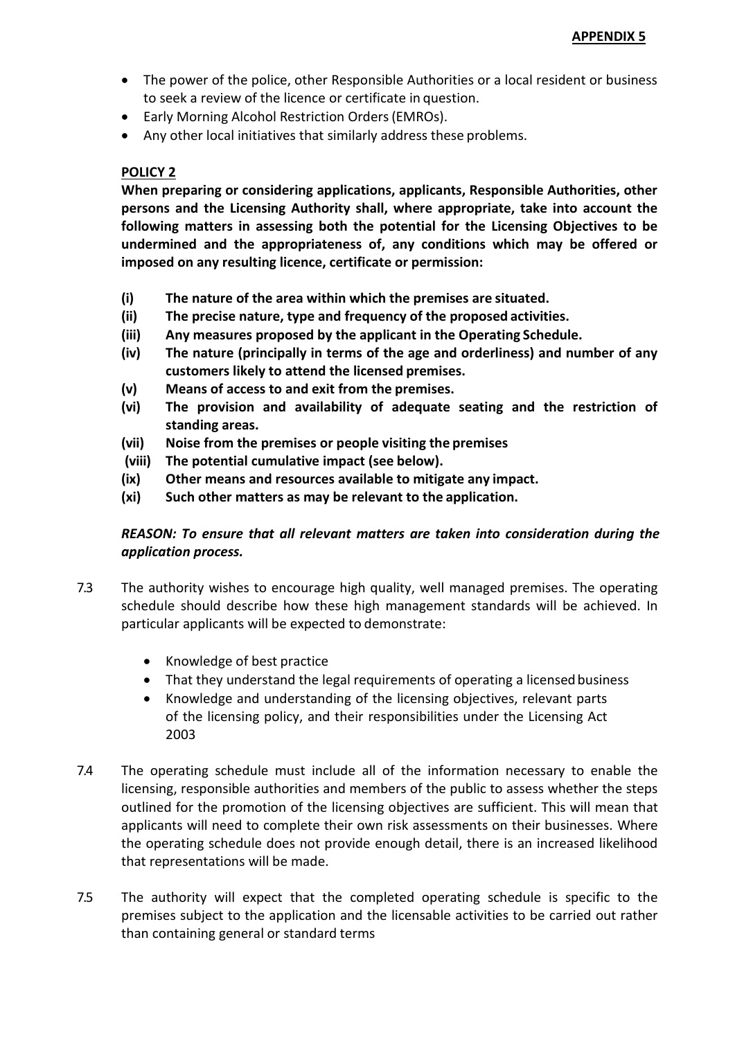- The power of the police, other Responsible Authorities or a local resident or business to seek a review of the licence or certificate in question.
- Early Morning Alcohol Restriction Orders(EMROs).
- Any other local initiatives that similarly address these problems.

## **POLICY 2**

**When preparing or considering applications, applicants, Responsible Authorities, other persons and the Licensing Authority shall, where appropriate, take into account the following matters in assessing both the potential for the Licensing Objectives to be undermined and the appropriateness of, any conditions which may be offered or imposed on any resulting licence, certificate or permission:**

- **(i) The nature of the area within which the premises are situated.**
- **(ii) The precise nature, type and frequency of the proposed activities.**
- **(iii) Any measures proposed by the applicant in the Operating Schedule.**
- **(iv) The nature (principally in terms of the age and orderliness) and number of any customers likely to attend the licensed premises.**
- **(v) Means of access to and exit from the premises.**
- **(vi) The provision and availability of adequate seating and the restriction of standing areas.**
- **(vii) Noise from the premises or people visiting the premises**
- **(viii) The potential cumulative impact (see below).**
- **(ix) Other means and resources available to mitigate any impact.**
- **(xi) Such other matters as may be relevant to the application.**

# *REASON: To ensure that all relevant matters are taken into consideration during the application process.*

- 7.3 The authority wishes to encourage high quality, well managed premises. The operating schedule should describe how these high management standards will be achieved. In particular applicants will be expected to demonstrate:
	- Knowledge of best practice
	- That they understand the legal requirements of operating a licensed business
	- Knowledge and understanding of the licensing objectives, relevant parts of the licensing policy, and their responsibilities under the Licensing Act 2003
- 7.4 The operating schedule must include all of the information necessary to enable the licensing, responsible authorities and members of the public to assess whether the steps outlined for the promotion of the licensing objectives are sufficient. This will mean that applicants will need to complete their own risk assessments on their businesses. Where the operating schedule does not provide enough detail, there is an increased likelihood that representations will be made.
- 7.5 The authority will expect that the completed operating schedule is specific to the premises subject to the application and the licensable activities to be carried out rather than containing general or standard terms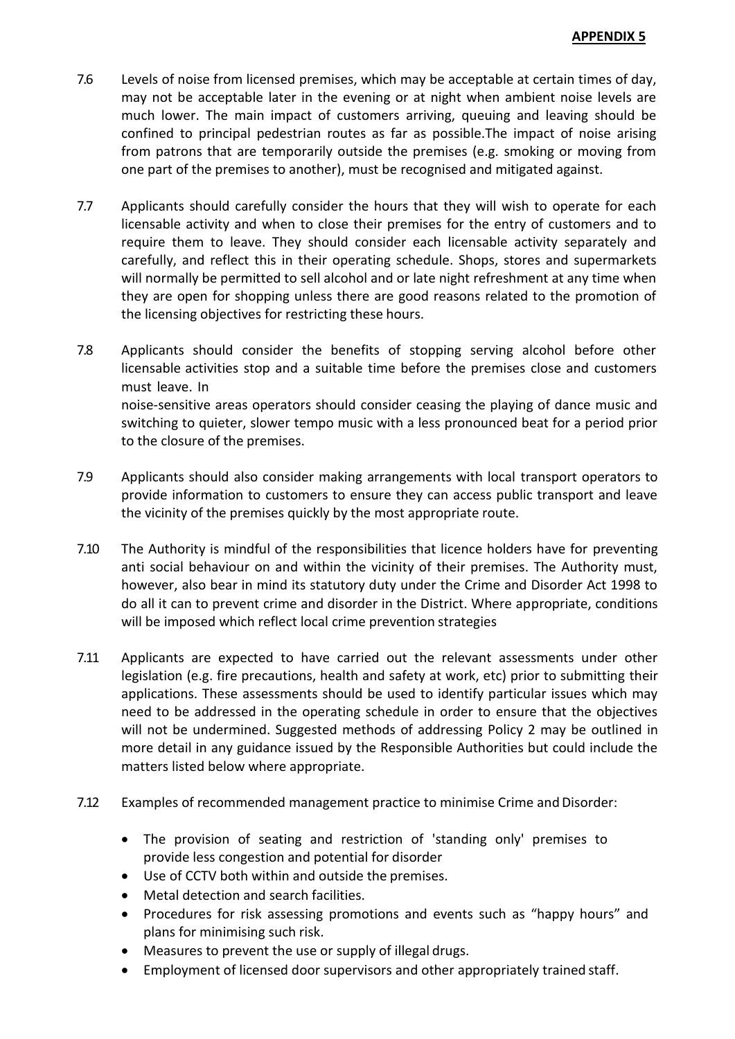- 7.6 Levels of noise from licensed premises, which may be acceptable at certain times of day, may not be acceptable later in the evening or at night when ambient noise levels are much lower. The main impact of customers arriving, queuing and leaving should be confined to principal pedestrian routes as far as possible.The impact of noise arising from patrons that are temporarily outside the premises (e.g. smoking or moving from one part of the premises to another), must be recognised and mitigated against.
- 7.7 Applicants should carefully consider the hours that they will wish to operate for each licensable activity and when to close their premises for the entry of customers and to require them to leave. They should consider each licensable activity separately and carefully, and reflect this in their operating schedule. Shops, stores and supermarkets will normally be permitted to sell alcohol and or late night refreshment at any time when they are open for shopping unless there are good reasons related to the promotion of the licensing objectives for restricting these hours.
- 7.8 Applicants should consider the benefits of stopping serving alcohol before other licensable activities stop and a suitable time before the premises close and customers must leave. In noise-sensitive areas operators should consider ceasing the playing of dance music and switching to quieter, slower tempo music with a less pronounced beat for a period prior to the closure of the premises.
- 7.9 Applicants should also consider making arrangements with local transport operators to provide information to customers to ensure they can access public transport and leave the vicinity of the premises quickly by the most appropriate route.
- 7.10 The Authority is mindful of the responsibilities that licence holders have for preventing anti social behaviour on and within the vicinity of their premises. The Authority must, however, also bear in mind its statutory duty under the Crime and Disorder Act 1998 to do all it can to prevent crime and disorder in the District. Where appropriate, conditions will be imposed which reflect local crime prevention strategies
- 7.11 Applicants are expected to have carried out the relevant assessments under other legislation (e.g. fire precautions, health and safety at work, etc) prior to submitting their applications. These assessments should be used to identify particular issues which may need to be addressed in the operating schedule in order to ensure that the objectives will not be undermined. Suggested methods of addressing Policy 2 may be outlined in more detail in any guidance issued by the Responsible Authorities but could include the matters listed below where appropriate.
- 7.12 Examples of recommended management practice to minimise Crime and Disorder:
	- The provision of seating and restriction of 'standing only' premises to provide less congestion and potential for disorder
	- Use of CCTV both within and outside the premises.
	- Metal detection and search facilities.
	- Procedures for risk assessing promotions and events such as "happy hours" and plans for minimising such risk.
	- Measures to prevent the use or supply of illegal drugs.
	- Employment of licensed door supervisors and other appropriately trained staff.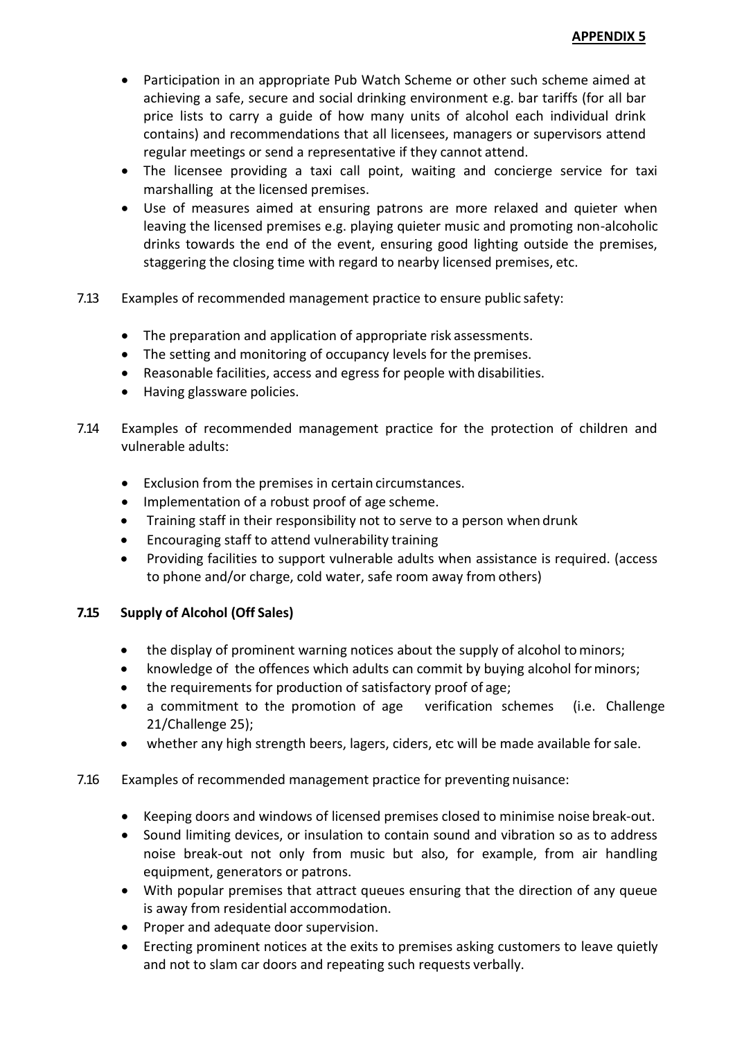- Participation in an appropriate Pub Watch Scheme or other such scheme aimed at achieving a safe, secure and social drinking environment e.g. bar tariffs (for all bar price lists to carry a guide of how many units of alcohol each individual drink contains) and recommendations that all licensees, managers or supervisors attend regular meetings or send a representative if they cannot attend.
- The licensee providing a taxi call point, waiting and concierge service for taxi marshalling at the licensed premises.
- Use of measures aimed at ensuring patrons are more relaxed and quieter when leaving the licensed premises e.g. playing quieter music and promoting non-alcoholic drinks towards the end of the event, ensuring good lighting outside the premises, staggering the closing time with regard to nearby licensed premises, etc.
- 7.13 Examples of recommended management practice to ensure public safety:
	- The preparation and application of appropriate risk assessments.
	- The setting and monitoring of occupancy levels for the premises.
	- Reasonable facilities, access and egress for people with disabilities.
	- Having glassware policies.
- 7.14 Examples of recommended management practice for the protection of children and vulnerable adults:
	- Exclusion from the premises in certain circumstances.
	- Implementation of a robust proof of age scheme.
	- Training staff in their responsibility not to serve to a person when drunk
	- Encouraging staff to attend vulnerability training
	- Providing facilities to support vulnerable adults when assistance is required. (access to phone and/or charge, cold water, safe room away from others)

## **7.15 Supply of Alcohol (Off Sales)**

- the display of prominent warning notices about the supply of alcohol to minors;
- knowledge of the offences which adults can commit by buying alcohol forminors;
- the requirements for production of satisfactory proof of age;
- a commitment to the promotion of age verification schemes (i.e. Challenge 21/Challenge 25);
- whether any high strength beers, lagers, ciders, etc will be made available forsale.
- 7.16 Examples of recommended management practice for preventing nuisance:
	- Keeping doors and windows of licensed premises closed to minimise noise break-out.
	- Sound limiting devices, or insulation to contain sound and vibration so as to address noise break-out not only from music but also, for example, from air handling equipment, generators or patrons.
	- With popular premises that attract queues ensuring that the direction of any queue is away from residential accommodation.
	- Proper and adequate door supervision.
	- Erecting prominent notices at the exits to premises asking customers to leave quietly and not to slam car doors and repeating such requests verbally.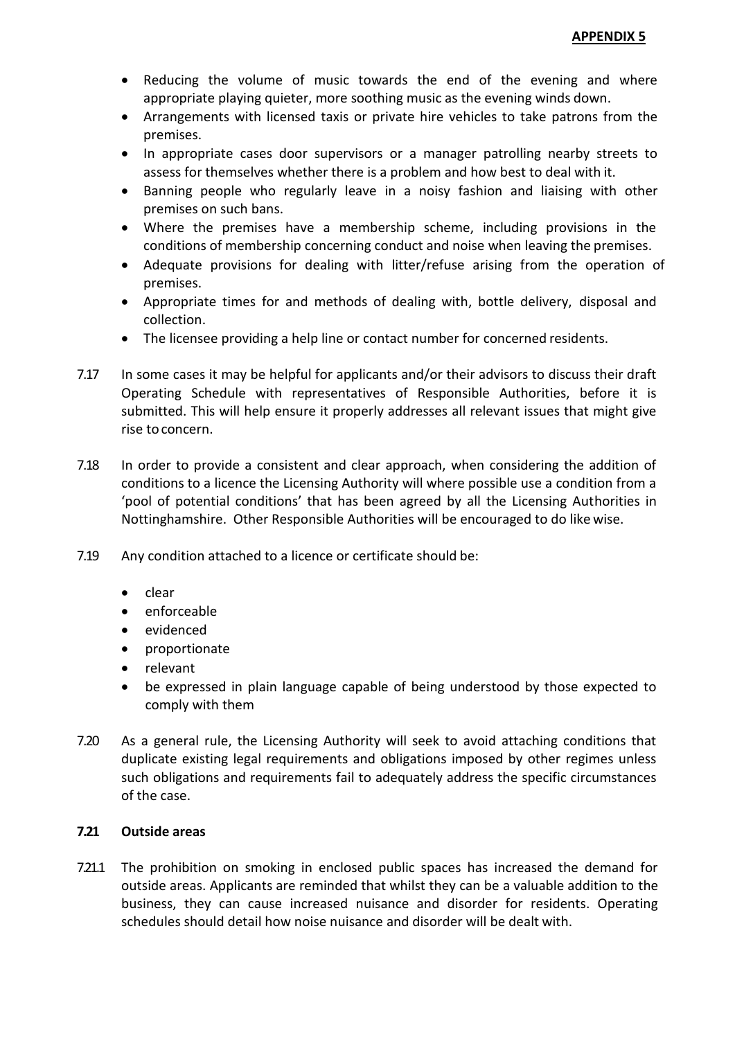- Reducing the volume of music towards the end of the evening and where appropriate playing quieter, more soothing music as the evening winds down.
- Arrangements with licensed taxis or private hire vehicles to take patrons from the premises.
- In appropriate cases door supervisors or a manager patrolling nearby streets to assess for themselves whether there is a problem and how best to deal with it.
- Banning people who regularly leave in a noisy fashion and liaising with other premises on such bans.
- Where the premises have a membership scheme, including provisions in the conditions of membership concerning conduct and noise when leaving the premises.
- Adequate provisions for dealing with litter/refuse arising from the operation of premises.
- Appropriate times for and methods of dealing with, bottle delivery, disposal and collection.
- The licensee providing a help line or contact number for concerned residents.
- 7.17 In some cases it may be helpful for applicants and/or their advisors to discuss their draft Operating Schedule with representatives of Responsible Authorities, before it is submitted. This will help ensure it properly addresses all relevant issues that might give rise toconcern.
- 7.18 In order to provide a consistent and clear approach, when considering the addition of conditions to a licence the Licensing Authority will where possible use a condition from a 'pool of potential conditions' that has been agreed by all the Licensing Authorities in Nottinghamshire. Other Responsible Authorities will be encouraged to do like wise.
- 7.19 Any condition attached to a licence or certificate should be:
	- $\bullet$  clear
	- enforceable
	- evidenced
	- proportionate
	- relevant
	- be expressed in plain language capable of being understood by those expected to comply with them
- 7.20 As a general rule, the Licensing Authority will seek to avoid attaching conditions that duplicate existing legal requirements and obligations imposed by other regimes unless such obligations and requirements fail to adequately address the specific circumstances of the case.

## **7.21 Outside areas**

7.21.1 The prohibition on smoking in enclosed public spaces has increased the demand for outside areas. Applicants are reminded that whilst they can be a valuable addition to the business, they can cause increased nuisance and disorder for residents. Operating schedules should detail how noise nuisance and disorder will be dealt with.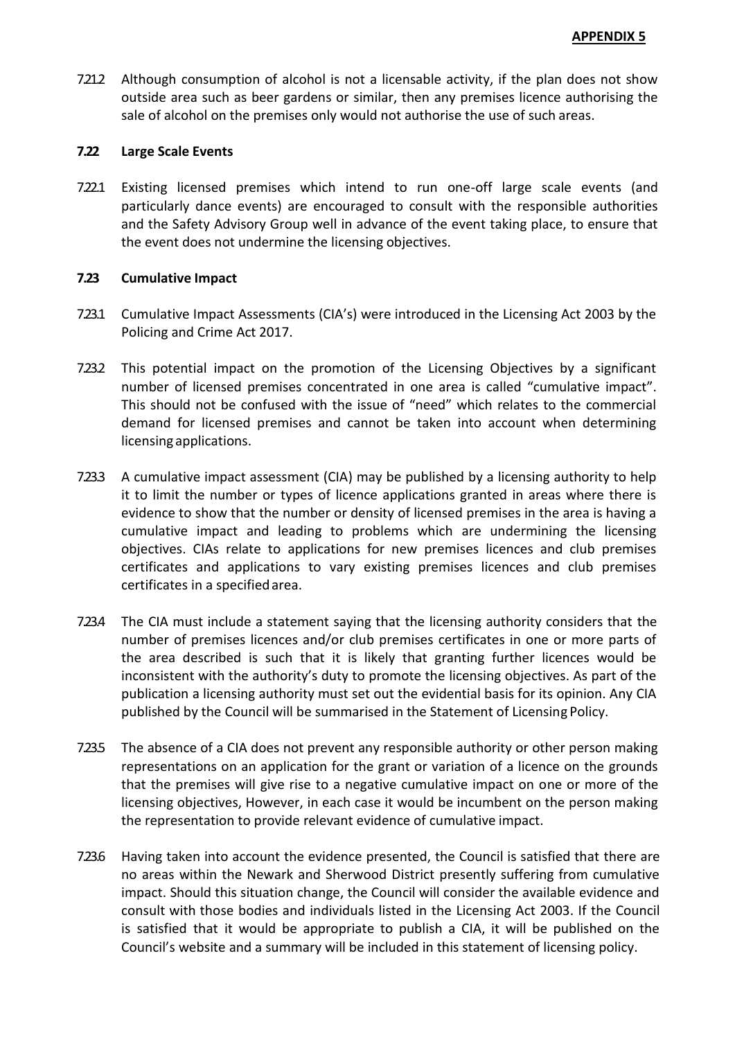7.21.2 Although consumption of alcohol is not a licensable activity, if the plan does not show outside area such as beer gardens or similar, then any premises licence authorising the sale of alcohol on the premises only would not authorise the use of such areas.

### **7.22 Large Scale Events**

7.22.1 Existing licensed premises which intend to run one-off large scale events (and particularly dance events) are encouraged to consult with the responsible authorities and the Safety Advisory Group well in advance of the event taking place, to ensure that the event does not undermine the licensing objectives.

## **7.23 Cumulative Impact**

- 7.23.1 Cumulative Impact Assessments (CIA's) were introduced in the Licensing Act 2003 by the Policing and Crime Act 2017.
- 7.23.2 This potential impact on the promotion of the Licensing Objectives by a significant number of licensed premises concentrated in one area is called "cumulative impact". This should not be confused with the issue of "need" which relates to the commercial demand for licensed premises and cannot be taken into account when determining licensing applications.
- 7.23.3 A cumulative impact assessment (CIA) may be published by a licensing authority to help it to limit the number or types of licence applications granted in areas where there is evidence to show that the number or density of licensed premises in the area is having a cumulative impact and leading to problems which are undermining the licensing objectives. CIAs relate to applications for new premises licences and club premises certificates and applications to vary existing premises licences and club premises certificates in a specifiedarea.
- 7.23.4 The CIA must include a statement saying that the licensing authority considers that the number of premises licences and/or club premises certificates in one or more parts of the area described is such that it is likely that granting further licences would be inconsistent with the authority's duty to promote the licensing objectives. As part of the publication a licensing authority must set out the evidential basis for its opinion. Any CIA published by the Council will be summarised in the Statement of Licensing Policy.
- 7.23.5 The absence of a CIA does not prevent any responsible authority or other person making representations on an application for the grant or variation of a licence on the grounds that the premises will give rise to a negative cumulative impact on one or more of the licensing objectives, However, in each case it would be incumbent on the person making the representation to provide relevant evidence of cumulative impact.
- 7.23.6 Having taken into account the evidence presented, the Council is satisfied that there are no areas within the Newark and Sherwood District presently suffering from cumulative impact. Should this situation change, the Council will consider the available evidence and consult with those bodies and individuals listed in the Licensing Act 2003. If the Council is satisfied that it would be appropriate to publish a CIA, it will be published on the Council's website and a summary will be included in this statement of licensing policy.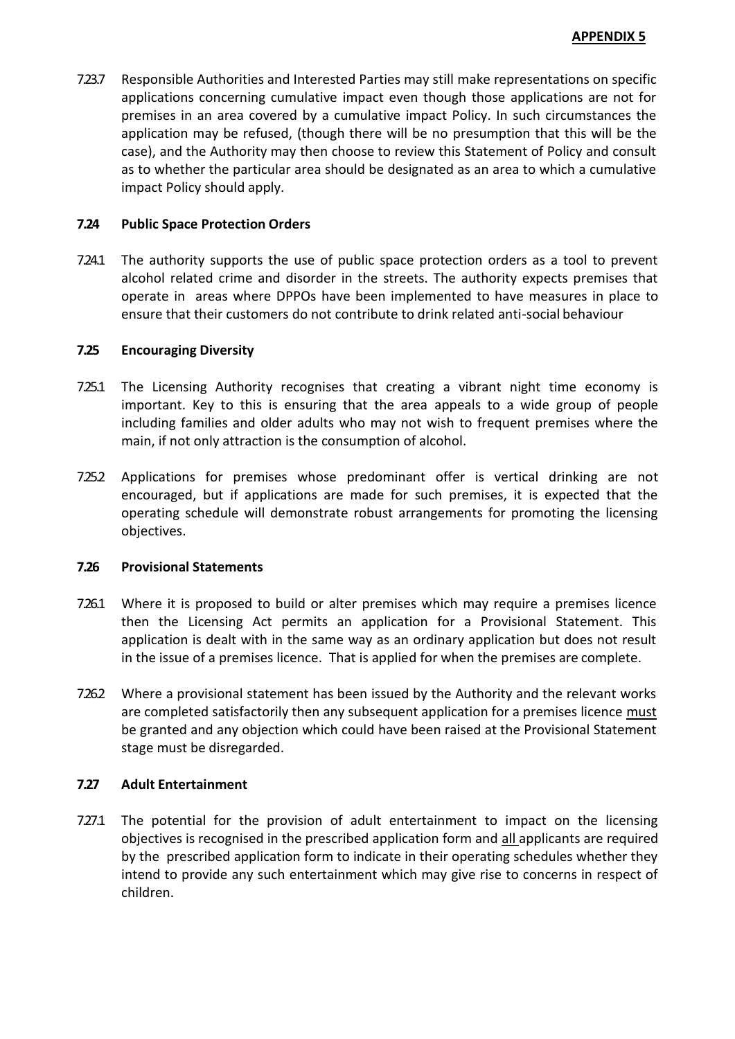7.23.7 Responsible Authorities and Interested Parties may still make representations on specific applications concerning cumulative impact even though those applications are not for premises in an area covered by a cumulative impact Policy. In such circumstances the application may be refused, (though there will be no presumption that this will be the case), and the Authority may then choose to review this Statement of Policy and consult as to whether the particular area should be designated as an area to which a cumulative impact Policy should apply.

### **7.24 Public Space Protection Orders**

7.24.1 The authority supports the use of public space protection orders as a tool to prevent alcohol related crime and disorder in the streets. The authority expects premises that operate in areas where DPPOs have been implemented to have measures in place to ensure that their customers do not contribute to drink related anti-social behaviour

### **7.25 Encouraging Diversity**

- 7.25.1 The Licensing Authority recognises that creating a vibrant night time economy is important. Key to this is ensuring that the area appeals to a wide group of people including families and older adults who may not wish to frequent premises where the main, if not only attraction is the consumption of alcohol.
- 7.25.2 Applications for premises whose predominant offer is vertical drinking are not encouraged, but if applications are made for such premises, it is expected that the operating schedule will demonstrate robust arrangements for promoting the licensing objectives.

### **7.26 Provisional Statements**

- 7.26.1 Where it is proposed to build or alter premises which may require a premises licence then the Licensing Act permits an application for a Provisional Statement. This application is dealt with in the same way as an ordinary application but does not result in the issue of a premises licence. That is applied for when the premises are complete.
- 7.26.2 Where a provisional statement has been issued by the Authority and the relevant works are completed satisfactorily then any subsequent application for a premises licence must be granted and any objection which could have been raised at the Provisional Statement stage must be disregarded.

### **7.27 Adult Entertainment**

7.27.1 The potential for the provision of adult entertainment to impact on the licensing objectives is recognised in the prescribed application form and all applicants are required by the prescribed application form to indicate in their operating schedules whether they intend to provide any such entertainment which may give rise to concerns in respect of children.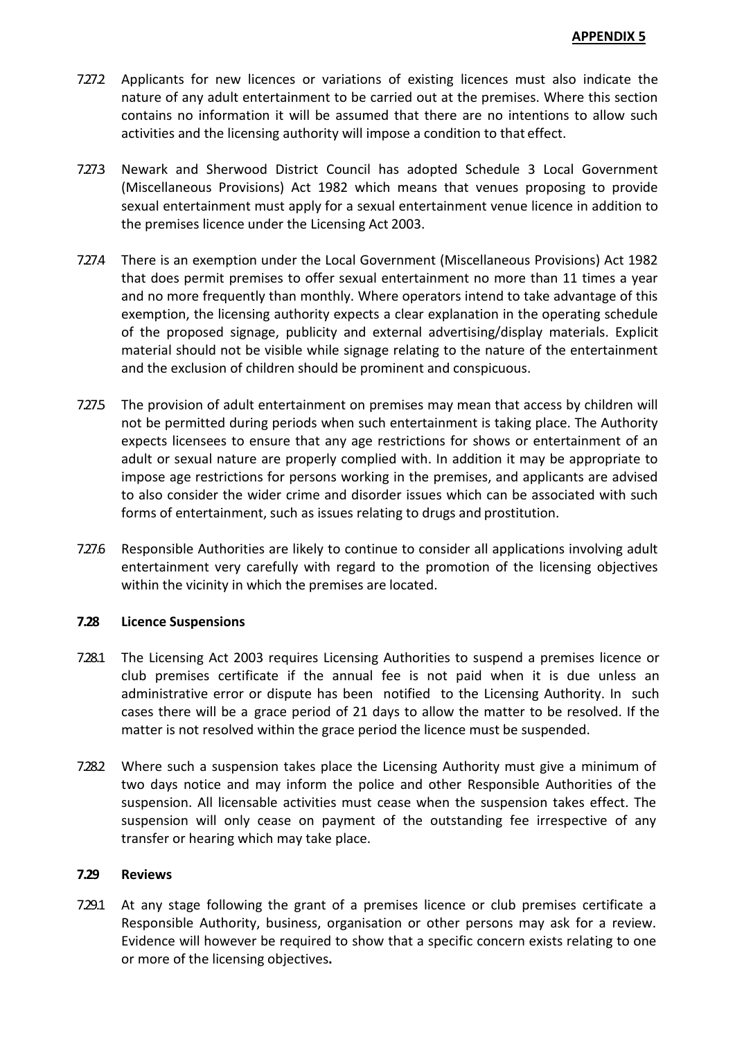- 7.27.2 Applicants for new licences or variations of existing licences must also indicate the nature of any adult entertainment to be carried out at the premises. Where this section contains no information it will be assumed that there are no intentions to allow such activities and the licensing authority will impose a condition to that effect.
- 7.27.3 Newark and Sherwood District Council has adopted Schedule 3 Local Government (Miscellaneous Provisions) Act 1982 which means that venues proposing to provide sexual entertainment must apply for a sexual entertainment venue licence in addition to the premises licence under the Licensing Act 2003.
- 7.27.4 There is an exemption under the Local Government (Miscellaneous Provisions) Act 1982 that does permit premises to offer sexual entertainment no more than 11 times a year and no more frequently than monthly. Where operators intend to take advantage of this exemption, the licensing authority expects a clear explanation in the operating schedule of the proposed signage, publicity and external advertising/display materials. Explicit material should not be visible while signage relating to the nature of the entertainment and the exclusion of children should be prominent and conspicuous.
- 7.27.5 The provision of adult entertainment on premises may mean that access by children will not be permitted during periods when such entertainment is taking place. The Authority expects licensees to ensure that any age restrictions for shows or entertainment of an adult or sexual nature are properly complied with. In addition it may be appropriate to impose age restrictions for persons working in the premises, and applicants are advised to also consider the wider crime and disorder issues which can be associated with such forms of entertainment, such as issues relating to drugs and prostitution.
- 7.27.6 Responsible Authorities are likely to continue to consider all applications involving adult entertainment very carefully with regard to the promotion of the licensing objectives within the vicinity in which the premises are located.

## **7.28 Licence Suspensions**

- 7.28.1 The Licensing Act 2003 requires Licensing Authorities to suspend a premises licence or club premises certificate if the annual fee is not paid when it is due unless an administrative error or dispute has been notified to the Licensing Authority. In such cases there will be a grace period of 21 days to allow the matter to be resolved. If the matter is not resolved within the grace period the licence must be suspended.
- 7.28.2 Where such a suspension takes place the Licensing Authority must give a minimum of two days notice and may inform the police and other Responsible Authorities of the suspension. All licensable activities must cease when the suspension takes effect. The suspension will only cease on payment of the outstanding fee irrespective of any transfer or hearing which may take place.

### **7.29 Reviews**

7.29.1 At any stage following the grant of a premises licence or club premises certificate a Responsible Authority, business, organisation or other persons may ask for a review. Evidence will however be required to show that a specific concern exists relating to one or more of the licensing objectives**.**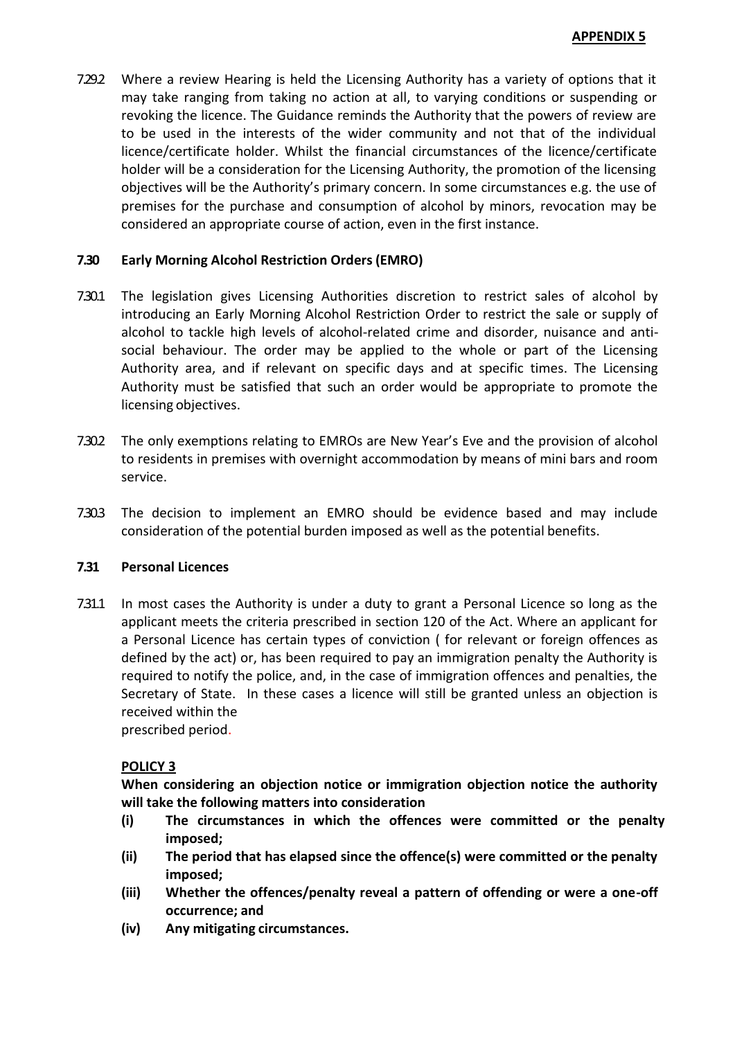7.29.2 Where a review Hearing is held the Licensing Authority has a variety of options that it may take ranging from taking no action at all, to varying conditions or suspending or revoking the licence. The Guidance reminds the Authority that the powers of review are to be used in the interests of the wider community and not that of the individual licence/certificate holder. Whilst the financial circumstances of the licence/certificate holder will be a consideration for the Licensing Authority, the promotion of the licensing objectives will be the Authority's primary concern. In some circumstances e.g. the use of premises for the purchase and consumption of alcohol by minors, revocation may be considered an appropriate course of action, even in the first instance.

### **7.30 Early Morning Alcohol Restriction Orders(EMRO)**

- 7.30.1 The legislation gives Licensing Authorities discretion to restrict sales of alcohol by introducing an Early Morning Alcohol Restriction Order to restrict the sale or supply of alcohol to tackle high levels of alcohol-related crime and disorder, nuisance and antisocial behaviour. The order may be applied to the whole or part of the Licensing Authority area, and if relevant on specific days and at specific times. The Licensing Authority must be satisfied that such an order would be appropriate to promote the licensing objectives.
- 7.30.2 The only exemptions relating to EMROs are New Year's Eve and the provision of alcohol to residents in premises with overnight accommodation by means of mini bars and room service.
- 7.30.3 The decision to implement an EMRO should be evidence based and may include consideration of the potential burden imposed as well as the potential benefits.

### **7.31 Personal Licences**

7.31.1 In most cases the Authority is under a duty to grant a Personal Licence so long as the applicant meets the criteria prescribed in section 120 of the Act. Where an applicant for a Personal Licence has certain types of conviction ( for relevant or foreign offences as defined by the act) or, has been required to pay an immigration penalty the Authority is required to notify the police, and, in the case of immigration offences and penalties, the Secretary of State. In these cases a licence will still be granted unless an objection is received within the prescribed period.

## **POLICY 3**

**When considering an objection notice or immigration objection notice the authority will take the following matters into consideration**

- **(i) The circumstances in which the offences were committed or the penalty imposed;**
- **(ii) The period that has elapsed since the offence(s) were committed or the penalty imposed;**
- **(iii) Whether the offences/penalty reveal a pattern of offending or were a one-off occurrence; and**
- **(iv) Any mitigating circumstances.**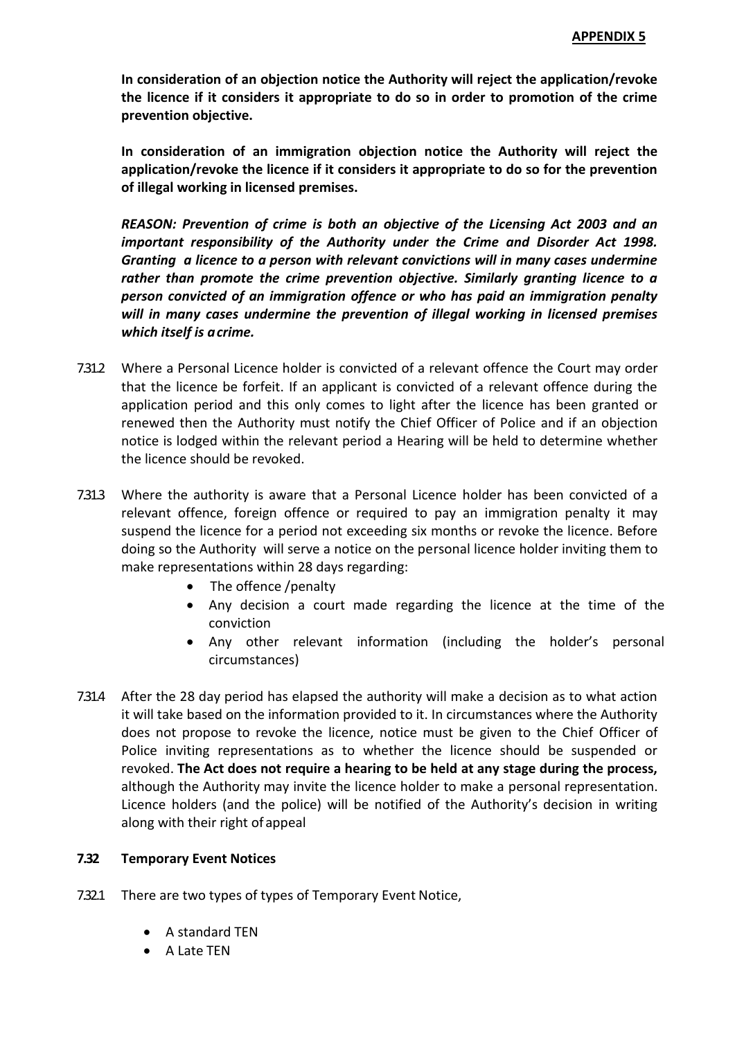**In consideration of an objection notice the Authority will reject the application/revoke the licence if it considers it appropriate to do so in order to promotion of the crime prevention objective.**

**In consideration of an immigration objection notice the Authority will reject the application/revoke the licence if it considers it appropriate to do so for the prevention of illegal working in licensed premises.**

*REASON: Prevention of crime is both an objective of the Licensing Act 2003 and an important responsibility of the Authority under the Crime and Disorder Act 1998. Granting a licence to a person with relevant convictions will in many cases undermine rather than promote the crime prevention objective. Similarly granting licence to a person convicted of an immigration offence or who has paid an immigration penalty will in many cases undermine the prevention of illegal working in licensed premises which itself is acrime.*

- 7.31.2 Where a Personal Licence holder is convicted of a relevant offence the Court may order that the licence be forfeit. If an applicant is convicted of a relevant offence during the application period and this only comes to light after the licence has been granted or renewed then the Authority must notify the Chief Officer of Police and if an objection notice is lodged within the relevant period a Hearing will be held to determine whether the licence should be revoked.
- 7.31.3 Where the authority is aware that a Personal Licence holder has been convicted of a relevant offence, foreign offence or required to pay an immigration penalty it may suspend the licence for a period not exceeding six months or revoke the licence. Before doing so the Authority will serve a notice on the personal licence holder inviting them to make representations within 28 days regarding:
	- The offence /penalty
	- Any decision a court made regarding the licence at the time of the conviction
	- Any other relevant information (including the holder's personal circumstances)
- 7.31.4 After the 28 day period has elapsed the authority will make a decision as to what action it will take based on the information provided to it. In circumstances where the Authority does not propose to revoke the licence, notice must be given to the Chief Officer of Police inviting representations as to whether the licence should be suspended or revoked. **The Act does not require a hearing to be held at any stage during the process,**  although the Authority may invite the licence holder to make a personal representation. Licence holders (and the police) will be notified of the Authority's decision in writing along with their right of appeal

## **7.32 Temporary Event Notices**

- 7.32.1 There are two types of types of Temporary Event Notice,
	- A standard TEN
	- A Late TEN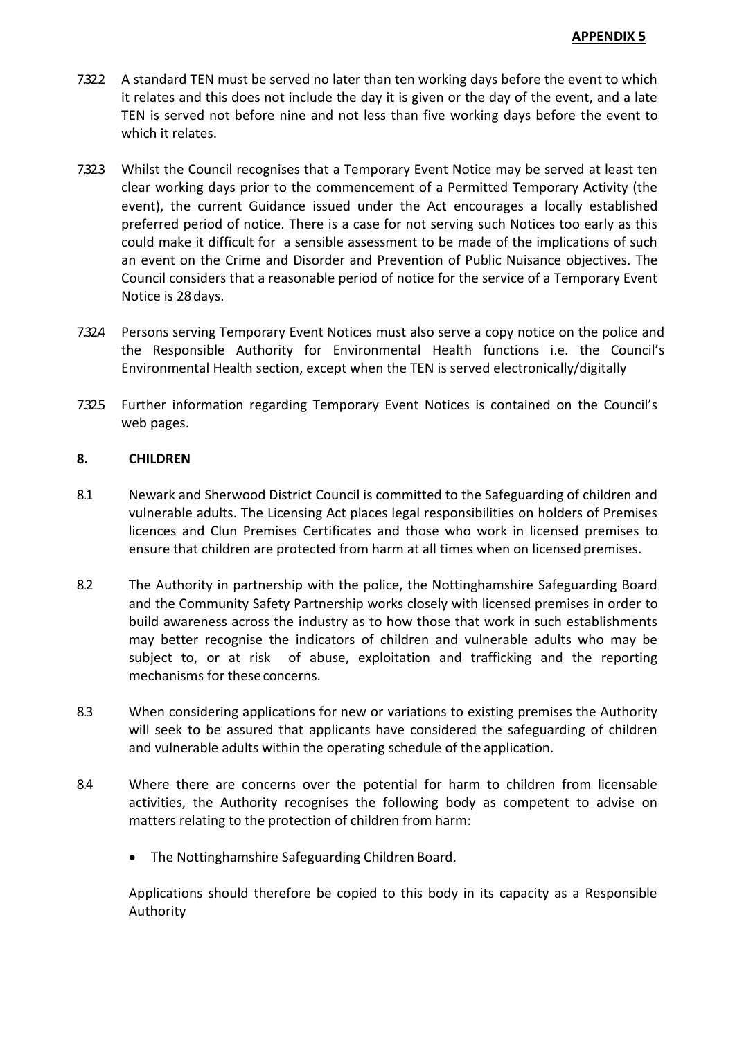- 7.32.2 A standard TEN must be served no later than ten working days before the event to which it relates and this does not include the day it is given or the day of the event, and a late TEN is served not before nine and not less than five working days before the event to which it relates.
- 7.32.3 Whilst the Council recognises that a Temporary Event Notice may be served at least ten clear working days prior to the commencement of a Permitted Temporary Activity (the event), the current Guidance issued under the Act encourages a locally established preferred period of notice. There is a case for not serving such Notices too early as this could make it difficult for a sensible assessment to be made of the implications of such an event on the Crime and Disorder and Prevention of Public Nuisance objectives. The Council considers that a reasonable period of notice for the service of a Temporary Event Notice is 28days.
- 7.32.4 Persons serving Temporary Event Notices must also serve a copy notice on the police and the Responsible Authority for Environmental Health functions i.e. the Council's Environmental Health section, except when the TEN is served electronically/digitally
- 7.32.5 Further information regarding Temporary Event Notices is contained on the Council's web pages.

### **8. CHILDREN**

- 8.1 Newark and Sherwood District Council is committed to the Safeguarding of children and vulnerable adults. The Licensing Act places legal responsibilities on holders of Premises licences and Clun Premises Certificates and those who work in licensed premises to ensure that children are protected from harm at all times when on licensed premises.
- 8.2 The Authority in partnership with the police, the Nottinghamshire Safeguarding Board and the Community Safety Partnership works closely with licensed premises in order to build awareness across the industry as to how those that work in such establishments may better recognise the indicators of children and vulnerable adults who may be subject to, or at risk of abuse, exploitation and trafficking and the reporting mechanisms for these concerns.
- 8.3 When considering applications for new or variations to existing premises the Authority will seek to be assured that applicants have considered the safeguarding of children and vulnerable adults within the operating schedule of the application.
- 8.4 Where there are concerns over the potential for harm to children from licensable activities, the Authority recognises the following body as competent to advise on matters relating to the protection of children from harm:
	- The Nottinghamshire Safeguarding Children Board.

Applications should therefore be copied to this body in its capacity as a Responsible Authority